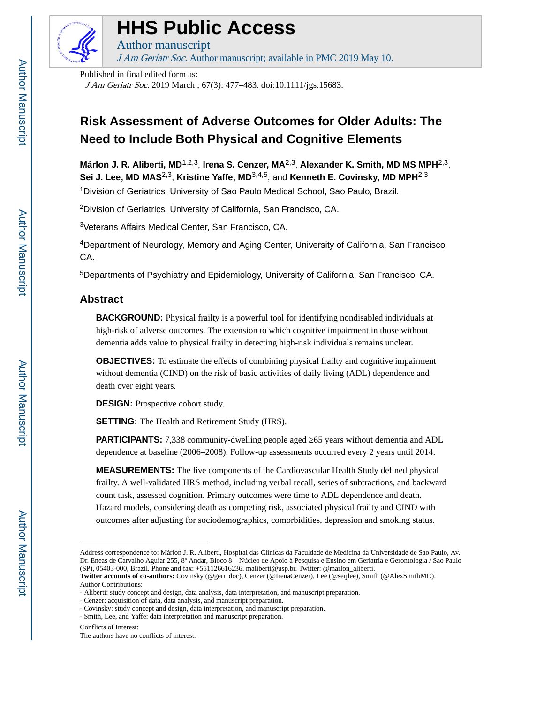

## **HHS Public Access**

Author manuscript J Am Geriatr Soc. Author manuscript; available in PMC 2019 May 10.

Published in final edited form as:

J Am Geriatr Soc. 2019 March ; 67(3): 477–483. doi:10.1111/jgs.15683.

### **Risk Assessment of Adverse Outcomes for Older Adults: The Need to Include Both Physical and Cognitive Elements**

**Márlon J. R. Aliberti, MD**1,2,3, **Irena S. Cenzer, MA**2,3, **Alexander K. Smith, MD MS MPH**2,3, **Sei J. Lee, MD MAS**2,3, **Kristine Yaffe, MD**3,4,5, and **Kenneth E. Covinsky, MD MPH**2,3

<sup>1</sup>Division of Geriatrics, University of Sao Paulo Medical School, Sao Paulo, Brazil.

<sup>2</sup>Division of Geriatrics, University of California, San Francisco, CA.

<sup>3</sup>Veterans Affairs Medical Center, San Francisco, CA.

<sup>4</sup>Department of Neurology, Memory and Aging Center, University of California, San Francisco, CA.

<sup>5</sup>Departments of Psychiatry and Epidemiology, University of California, San Francisco, CA.

#### **Abstract**

**BACKGROUND:** Physical frailty is a powerful tool for identifying nondisabled individuals at high-risk of adverse outcomes. The extension to which cognitive impairment in those without dementia adds value to physical frailty in detecting high-risk individuals remains unclear.

**OBJECTIVES:** To estimate the effects of combining physical frailty and cognitive impairment without dementia (CIND) on the risk of basic activities of daily living (ADL) dependence and death over eight years.

**DESIGN:** Prospective cohort study.

**SETTING:** The Health and Retirement Study (HRS).

**PARTICIPANTS:** 7,338 community-dwelling people aged 65 years without dementia and ADL dependence at baseline (2006–2008). Follow-up assessments occurred every 2 years until 2014.

**MEASUREMENTS:** The five components of the Cardiovascular Health Study defined physical frailty. A well-validated HRS method, including verbal recall, series of subtractions, and backward count task, assessed cognition. Primary outcomes were time to ADL dependence and death. Hazard models, considering death as competing risk, associated physical frailty and CIND with outcomes after adjusting for sociodemographics, comorbidities, depression and smoking status.

Address correspondence to: Márlon J. R. Aliberti, Hospital das Clinicas da Faculdade de Medicina da Universidade de Sao Paulo, Av. Dr. Eneas de Carvalho Aguiar 255, 8º Andar, Bloco 8—Núcleo de Apoio à Pesquisa e Ensino em Geriatria e Gerontologia / Sao Paulo (SP), 05403-000, Brazil. Phone and fax: +551126616236. maliberti@usp.br. Twitter: @marlon\_aliberti.

**Twitter accounts of co-authors:** Covinsky (@geri\_doc), Cenzer (@IrenaCenzer), Lee (@seijlee), Smith (@AlexSmithMD). Author Contributions:

<sup>-</sup> Aliberti: study concept and design, data analysis, data interpretation, and manuscript preparation.

<sup>-</sup> Cenzer: acquisition of data, data analysis, and manuscript preparation.

<sup>-</sup> Covinsky: study concept and design, data interpretation, and manuscript preparation.

<sup>-</sup> Smith, Lee, and Yaffe: data interpretation and manuscript preparation.

Conflicts of Interest:

The authors have no conflicts of interest.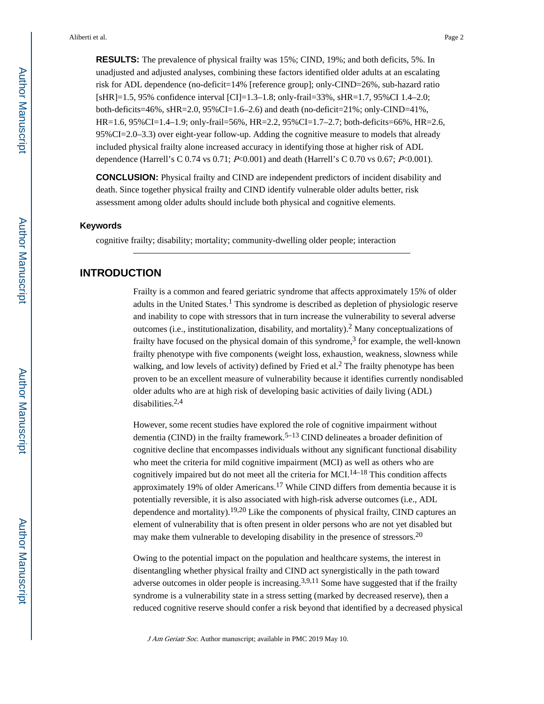**RESULTS:** The prevalence of physical frailty was 15%; CIND, 19%; and both deficits, 5%. In unadjusted and adjusted analyses, combining these factors identified older adults at an escalating risk for ADL dependence (no-deficit=14% [reference group]; only-CIND=26%, sub-hazard ratio [sHR]=1.5, 95% confidence interval [CI]=1.3–1.8; only-frail=33%, sHR=1.7, 95%CI 1.4–2.0; both-deficits=46%, sHR=2.0,  $95\%$ CI=1.6–2.6) and death (no-deficit=21%; only-CIND=41%, HR=1.6, 95%CI=1.4–1.9; only-frail=56%, HR=2.2, 95%CI=1.7–2.7; both-deficits=66%, HR=2.6, 95%CI=2.0–3.3) over eight-year follow-up. Adding the cognitive measure to models that already included physical frailty alone increased accuracy in identifying those at higher risk of ADL dependence (Harrell's C 0.74 vs 0.71; P<0.001) and death (Harrell's C 0.70 vs 0.67; P<0.001).

**CONCLUSION:** Physical frailty and CIND are independent predictors of incident disability and death. Since together physical frailty and CIND identify vulnerable older adults better, risk assessment among older adults should include both physical and cognitive elements.

#### **Keywords**

cognitive frailty; disability; mortality; community-dwelling older people; interaction

#### **INTRODUCTION**

Frailty is a common and feared geriatric syndrome that affects approximately 15% of older adults in the United States.<sup>1</sup> This syndrome is described as depletion of physiologic reserve and inability to cope with stressors that in turn increase the vulnerability to several adverse outcomes (i.e., institutionalization, disability, and mortality).<sup>2</sup> Many conceptualizations of frailty have focused on the physical domain of this syndrome,  $3$  for example, the well-known frailty phenotype with five components (weight loss, exhaustion, weakness, slowness while walking, and low levels of activity) defined by Fried et al.<sup>2</sup> The frailty phenotype has been proven to be an excellent measure of vulnerability because it identifies currently nondisabled older adults who are at high risk of developing basic activities of daily living (ADL) disabilities.2,4

However, some recent studies have explored the role of cognitive impairment without dementia (CIND) in the frailty framework.<sup>5–13</sup> CIND delineates a broader definition of cognitive decline that encompasses individuals without any significant functional disability who meet the criteria for mild cognitive impairment (MCI) as well as others who are cognitively impaired but do not meet all the criteria for MCI.<sup>14–18</sup> This condition affects approximately 19% of older Americans.17 While CIND differs from dementia because it is potentially reversible, it is also associated with high-risk adverse outcomes (i.e., ADL dependence and mortality).<sup>19,20</sup> Like the components of physical frailty, CIND captures an element of vulnerability that is often present in older persons who are not yet disabled but may make them vulnerable to developing disability in the presence of stressors.<sup>20</sup>

Owing to the potential impact on the population and healthcare systems, the interest in disentangling whether physical frailty and CIND act synergistically in the path toward adverse outcomes in older people is increasing.<sup>3,9,11</sup> Some have suggested that if the frailty syndrome is a vulnerability state in a stress setting (marked by decreased reserve), then a reduced cognitive reserve should confer a risk beyond that identified by a decreased physical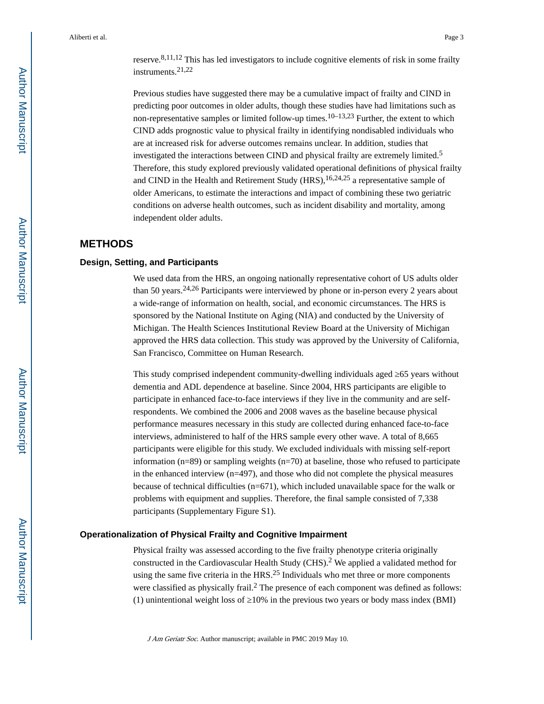reserve.8,11,12 This has led investigators to include cognitive elements of risk in some frailty instruments.21,22

Previous studies have suggested there may be a cumulative impact of frailty and CIND in predicting poor outcomes in older adults, though these studies have had limitations such as non-representative samples or limited follow-up times.<sup>10–13,23</sup> Further, the extent to which CIND adds prognostic value to physical frailty in identifying nondisabled individuals who are at increased risk for adverse outcomes remains unclear. In addition, studies that investigated the interactions between CIND and physical frailty are extremely limited.<sup>5</sup> Therefore, this study explored previously validated operational definitions of physical frailty and CIND in the Health and Retirement Study  $(HRS)$ ,  $^{16,24,25}$  a representative sample of older Americans, to estimate the interactions and impact of combining these two geriatric conditions on adverse health outcomes, such as incident disability and mortality, among independent older adults.

#### **METHODS**

#### **Design, Setting, and Participants**

We used data from the HRS, an ongoing nationally representative cohort of US adults older than 50 years.24,26 Participants were interviewed by phone or in-person every 2 years about a wide-range of information on health, social, and economic circumstances. The HRS is sponsored by the National Institute on Aging (NIA) and conducted by the University of Michigan. The Health Sciences Institutional Review Board at the University of Michigan approved the HRS data collection. This study was approved by the University of California, San Francisco, Committee on Human Research.

This study comprised independent community-dwelling individuals aged 65 years without dementia and ADL dependence at baseline. Since 2004, HRS participants are eligible to participate in enhanced face-to-face interviews if they live in the community and are selfrespondents. We combined the 2006 and 2008 waves as the baseline because physical performance measures necessary in this study are collected during enhanced face-to-face interviews, administered to half of the HRS sample every other wave. A total of 8,665 participants were eligible for this study. We excluded individuals with missing self-report information ( $n=89$ ) or sampling weights ( $n=70$ ) at baseline, those who refused to participate in the enhanced interview  $(n=497)$ , and those who did not complete the physical measures because of technical difficulties  $(n=671)$ , which included unavailable space for the walk or problems with equipment and supplies. Therefore, the final sample consisted of 7,338 participants (Supplementary Figure S1).

#### **Operationalization of Physical Frailty and Cognitive Impairment**

Physical frailty was assessed according to the five frailty phenotype criteria originally constructed in the Cardiovascular Health Study (CHS).<sup>2</sup> We applied a validated method for using the same five criteria in the  $HRS<sup>25</sup>$  Individuals who met three or more components were classified as physically frail.<sup>2</sup> The presence of each component was defined as follows: (1) unintentional weight loss of  $10\%$  in the previous two years or body mass index (BMI)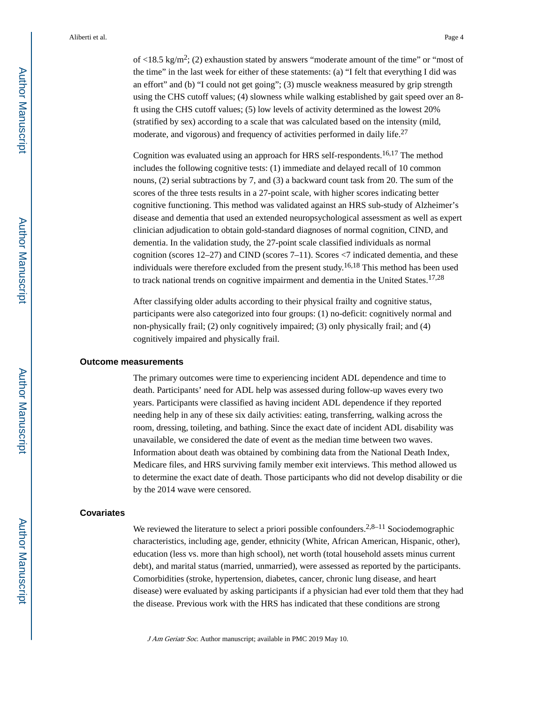of <18.5 kg/m<sup>2</sup>; (2) exhaustion stated by answers "moderate amount of the time" or "most of the time" in the last week for either of these statements: (a) "I felt that everything I did was an effort" and (b) "I could not get going"; (3) muscle weakness measured by grip strength using the CHS cutoff values; (4) slowness while walking established by gait speed over an 8 ft using the CHS cutoff values; (5) low levels of activity determined as the lowest 20% (stratified by sex) according to a scale that was calculated based on the intensity (mild, moderate, and vigorous) and frequency of activities performed in daily life.<sup>27</sup>

Cognition was evaluated using an approach for HRS self-respondents.16,17 The method includes the following cognitive tests: (1) immediate and delayed recall of 10 common nouns, (2) serial subtractions by 7, and (3) a backward count task from 20. The sum of the scores of the three tests results in a 27-point scale, with higher scores indicating better cognitive functioning. This method was validated against an HRS sub-study of Alzheimer's disease and dementia that used an extended neuropsychological assessment as well as expert clinician adjudication to obtain gold-standard diagnoses of normal cognition, CIND, and dementia. In the validation study, the 27-point scale classified individuals as normal cognition (scores  $12-27$ ) and CIND (scores  $7-11$ ). Scores  $\leq 7$  indicated dementia, and these individuals were therefore excluded from the present study.<sup>16,18</sup> This method has been used to track national trends on cognitive impairment and dementia in the United States.<sup>17,28</sup>

After classifying older adults according to their physical frailty and cognitive status, participants were also categorized into four groups: (1) no-deficit: cognitively normal and non-physically frail; (2) only cognitively impaired; (3) only physically frail; and (4) cognitively impaired and physically frail.

#### **Outcome measurements**

The primary outcomes were time to experiencing incident ADL dependence and time to death. Participants' need for ADL help was assessed during follow-up waves every two years. Participants were classified as having incident ADL dependence if they reported needing help in any of these six daily activities: eating, transferring, walking across the room, dressing, toileting, and bathing. Since the exact date of incident ADL disability was unavailable, we considered the date of event as the median time between two waves. Information about death was obtained by combining data from the National Death Index, Medicare files, and HRS surviving family member exit interviews. This method allowed us to determine the exact date of death. Those participants who did not develop disability or die by the 2014 wave were censored.

#### **Covariates**

We reviewed the literature to select a priori possible confounders.<sup>2,8–11</sup> Sociodemographic characteristics, including age, gender, ethnicity (White, African American, Hispanic, other), education (less vs. more than high school), net worth (total household assets minus current debt), and marital status (married, unmarried), were assessed as reported by the participants. Comorbidities (stroke, hypertension, diabetes, cancer, chronic lung disease, and heart disease) were evaluated by asking participants if a physician had ever told them that they had the disease. Previous work with the HRS has indicated that these conditions are strong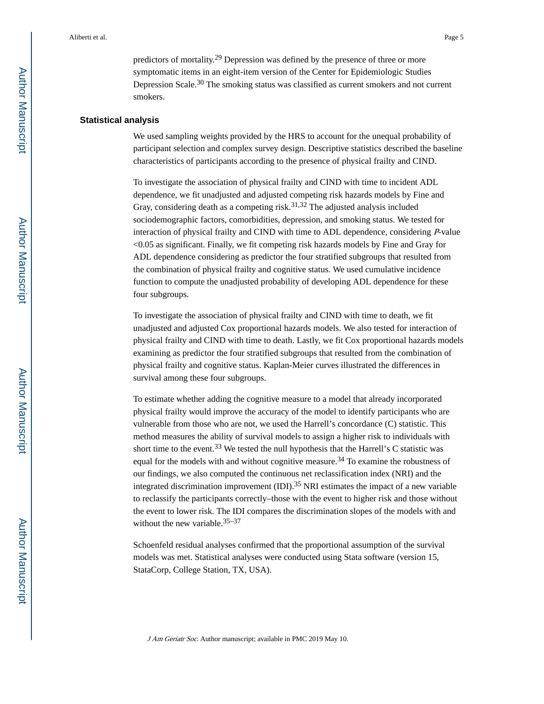predictors of mortality.29 Depression was defined by the presence of three or more symptomatic items in an eight-item version of the Center for Epidemiologic Studies Depression Scale.30 The smoking status was classified as current smokers and not current smokers.

#### **Statistical analysis**

We used sampling weights provided by the HRS to account for the unequal probability of participant selection and complex survey design. Descriptive statistics described the baseline characteristics of participants according to the presence of physical frailty and CIND.

To investigate the association of physical frailty and CIND with time to incident ADL dependence, we fit unadjusted and adjusted competing risk hazards models by Fine and Gray, considering death as a competing risk. $31,32$  The adjusted analysis included sociodemographic factors, comorbidities, depression, and smoking status. We tested for interaction of physical frailty and CIND with time to ADL dependence, considering P-value <0.05 as significant. Finally, we fit competing risk hazards models by Fine and Gray for ADL dependence considering as predictor the four stratified subgroups that resulted from the combination of physical frailty and cognitive status. We used cumulative incidence function to compute the unadjusted probability of developing ADL dependence for these four subgroups.

To investigate the association of physical frailty and CIND with time to death, we fit unadjusted and adjusted Cox proportional hazards models. We also tested for interaction of physical frailty and CIND with time to death. Lastly, we fit Cox proportional hazards models examining as predictor the four stratified subgroups that resulted from the combination of physical frailty and cognitive status. Kaplan-Meier curves illustrated the differences in survival among these four subgroups.

To estimate whether adding the cognitive measure to a model that already incorporated physical frailty would improve the accuracy of the model to identify participants who are vulnerable from those who are not, we used the Harrell's concordance (C) statistic. This method measures the ability of survival models to assign a higher risk to individuals with short time to the event.<sup>33</sup> We tested the null hypothesis that the Harrell's C statistic was equal for the models with and without cognitive measure.<sup>34</sup> To examine the robustness of our findings, we also computed the continuous net reclassification index (NRI) and the integrated discrimination improvement  $(IDI)$ .<sup>35</sup> NRI estimates the impact of a new variable to reclassify the participants correctly–those with the event to higher risk and those without the event to lower risk. The IDI compares the discrimination slopes of the models with and without the new variable. $35-37$ 

Schoenfeld residual analyses confirmed that the proportional assumption of the survival models was met. Statistical analyses were conducted using Stata software (version 15, StataCorp, College Station, TX, USA).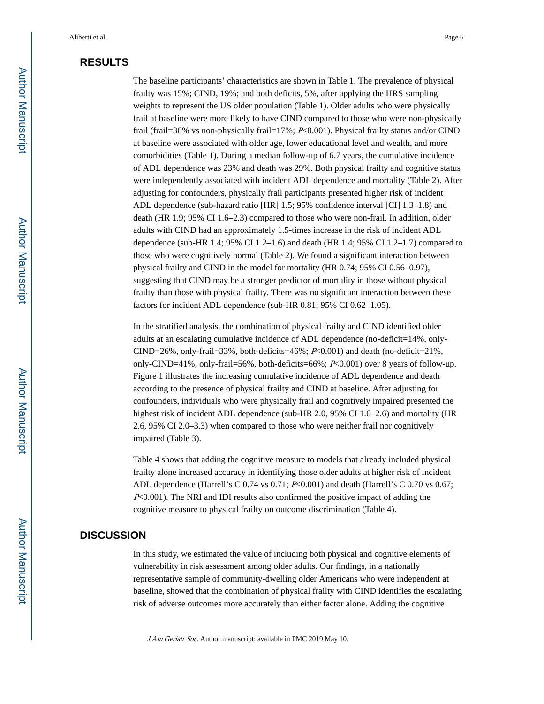#### **RESULTS**

The baseline participants' characteristics are shown in Table 1. The prevalence of physical frailty was 15%; CIND, 19%; and both deficits, 5%, after applying the HRS sampling weights to represent the US older population (Table 1). Older adults who were physically frail at baseline were more likely to have CIND compared to those who were non-physically frail (frail=36% vs non-physically frail=17%; P<0.001). Physical frailty status and/or CIND at baseline were associated with older age, lower educational level and wealth, and more comorbidities (Table 1). During a median follow-up of 6.7 years, the cumulative incidence of ADL dependence was 23% and death was 29%. Both physical frailty and cognitive status were independently associated with incident ADL dependence and mortality (Table 2). After adjusting for confounders, physically frail participants presented higher risk of incident ADL dependence (sub-hazard ratio [HR] 1.5; 95% confidence interval [CI] 1.3–1.8) and death (HR 1.9; 95% CI 1.6–2.3) compared to those who were non-frail. In addition, older adults with CIND had an approximately 1.5-times increase in the risk of incident ADL dependence (sub-HR 1.4; 95% CI 1.2–1.6) and death (HR 1.4; 95% CI 1.2–1.7) compared to those who were cognitively normal (Table 2). We found a significant interaction between physical frailty and CIND in the model for mortality (HR 0.74; 95% CI 0.56–0.97), suggesting that CIND may be a stronger predictor of mortality in those without physical frailty than those with physical frailty. There was no significant interaction between these factors for incident ADL dependence (sub-HR 0.81; 95% CI 0.62–1.05).

In the stratified analysis, the combination of physical frailty and CIND identified older adults at an escalating cumulative incidence of ADL dependence (no-deficit=14%, only-CIND=26%, only-frail=33%, both-deficits=46%; P<0.001) and death (no-deficit=21%, only-CIND=41%, only-frail=56%, both-deficits=66%; P<0.001) over 8 years of follow-up. Figure 1 illustrates the increasing cumulative incidence of ADL dependence and death according to the presence of physical frailty and CIND at baseline. After adjusting for confounders, individuals who were physically frail and cognitively impaired presented the highest risk of incident ADL dependence (sub-HR 2.0, 95% CI 1.6–2.6) and mortality (HR 2.6, 95% CI 2.0–3.3) when compared to those who were neither frail nor cognitively impaired (Table 3).

Table 4 shows that adding the cognitive measure to models that already included physical frailty alone increased accuracy in identifying those older adults at higher risk of incident ADL dependence (Harrell's C 0.74 vs 0.71; P<0.001) and death (Harrell's C 0.70 vs 0.67;  $P<sub>0.001</sub>$ . The NRI and IDI results also confirmed the positive impact of adding the cognitive measure to physical frailty on outcome discrimination (Table 4).

#### **DISCUSSION**

In this study, we estimated the value of including both physical and cognitive elements of vulnerability in risk assessment among older adults. Our findings, in a nationally representative sample of community-dwelling older Americans who were independent at baseline, showed that the combination of physical frailty with CIND identifies the escalating risk of adverse outcomes more accurately than either factor alone. Adding the cognitive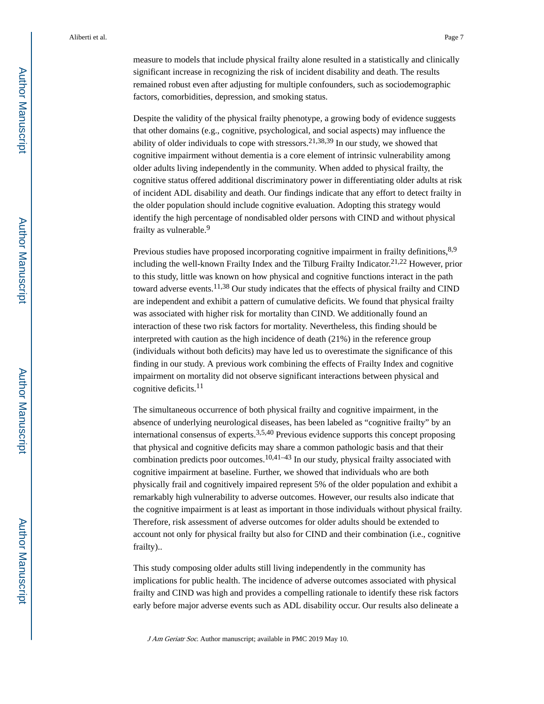measure to models that include physical frailty alone resulted in a statistically and clinically significant increase in recognizing the risk of incident disability and death. The results remained robust even after adjusting for multiple confounders, such as sociodemographic factors, comorbidities, depression, and smoking status.

Despite the validity of the physical frailty phenotype, a growing body of evidence suggests that other domains (e.g., cognitive, psychological, and social aspects) may influence the ability of older individuals to cope with stressors.21,38,39 In our study, we showed that cognitive impairment without dementia is a core element of intrinsic vulnerability among older adults living independently in the community. When added to physical frailty, the cognitive status offered additional discriminatory power in differentiating older adults at risk of incident ADL disability and death. Our findings indicate that any effort to detect frailty in the older population should include cognitive evaluation. Adopting this strategy would identify the high percentage of nondisabled older persons with CIND and without physical frailty as vulnerable.<sup>9</sup>

Previous studies have proposed incorporating cognitive impairment in frailty definitions, 8,9 including the well-known Frailty Index and the Tilburg Frailty Indicator.<sup>21,22</sup> However, prior to this study, little was known on how physical and cognitive functions interact in the path toward adverse events.<sup>11,38</sup> Our study indicates that the effects of physical frailty and CIND are independent and exhibit a pattern of cumulative deficits. We found that physical frailty was associated with higher risk for mortality than CIND. We additionally found an interaction of these two risk factors for mortality. Nevertheless, this finding should be interpreted with caution as the high incidence of death (21%) in the reference group (individuals without both deficits) may have led us to overestimate the significance of this finding in our study. A previous work combining the effects of Frailty Index and cognitive impairment on mortality did not observe significant interactions between physical and cognitive deficits.<sup>11</sup>

The simultaneous occurrence of both physical frailty and cognitive impairment, in the absence of underlying neurological diseases, has been labeled as "cognitive frailty" by an international consensus of experts.  $3,5,40$  Previous evidence supports this concept proposing that physical and cognitive deficits may share a common pathologic basis and that their combination predicts poor outcomes.<sup>10,41–43</sup> In our study, physical frailty associated with cognitive impairment at baseline. Further, we showed that individuals who are both physically frail and cognitively impaired represent 5% of the older population and exhibit a remarkably high vulnerability to adverse outcomes. However, our results also indicate that the cognitive impairment is at least as important in those individuals without physical frailty. Therefore, risk assessment of adverse outcomes for older adults should be extended to account not only for physical frailty but also for CIND and their combination (i.e., cognitive frailty)..

This study composing older adults still living independently in the community has implications for public health. The incidence of adverse outcomes associated with physical frailty and CIND was high and provides a compelling rationale to identify these risk factors early before major adverse events such as ADL disability occur. Our results also delineate a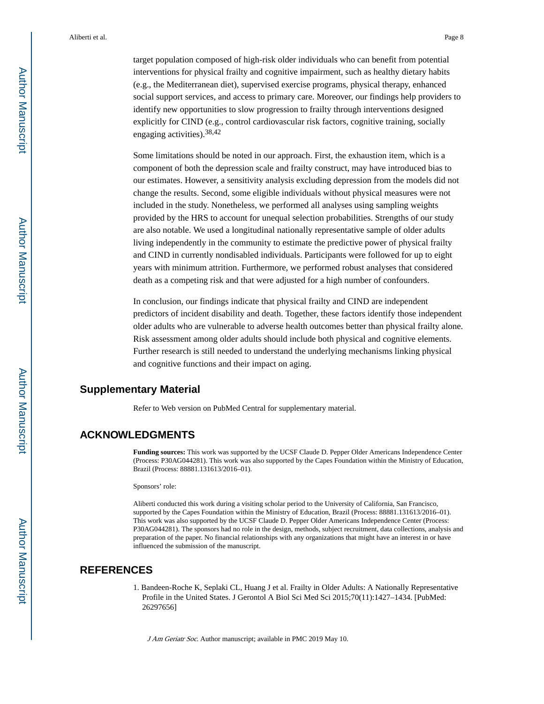target population composed of high-risk older individuals who can benefit from potential interventions for physical frailty and cognitive impairment, such as healthy dietary habits (e.g., the Mediterranean diet), supervised exercise programs, physical therapy, enhanced social support services, and access to primary care. Moreover, our findings help providers to identify new opportunities to slow progression to frailty through interventions designed explicitly for CIND (e.g., control cardiovascular risk factors, cognitive training, socially engaging activities).38,42

Some limitations should be noted in our approach. First, the exhaustion item, which is a component of both the depression scale and frailty construct, may have introduced bias to our estimates. However, a sensitivity analysis excluding depression from the models did not change the results. Second, some eligible individuals without physical measures were not included in the study. Nonetheless, we performed all analyses using sampling weights provided by the HRS to account for unequal selection probabilities. Strengths of our study are also notable. We used a longitudinal nationally representative sample of older adults living independently in the community to estimate the predictive power of physical frailty and CIND in currently nondisabled individuals. Participants were followed for up to eight years with minimum attrition. Furthermore, we performed robust analyses that considered death as a competing risk and that were adjusted for a high number of confounders.

In conclusion, our findings indicate that physical frailty and CIND are independent predictors of incident disability and death. Together, these factors identify those independent older adults who are vulnerable to adverse health outcomes better than physical frailty alone. Risk assessment among older adults should include both physical and cognitive elements. Further research is still needed to understand the underlying mechanisms linking physical and cognitive functions and their impact on aging.

#### **Supplementary Material**

Refer to Web version on PubMed Central for supplementary material.

#### **ACKNOWLEDGMENTS**

**Funding sources:** This work was supported by the UCSF Claude D. Pepper Older Americans Independence Center (Process: P30AG044281). This work was also supported by the Capes Foundation within the Ministry of Education, Brazil (Process: 88881.131613/2016–01).

Sponsors' role:

Aliberti conducted this work during a visiting scholar period to the University of California, San Francisco, supported by the Capes Foundation within the Ministry of Education, Brazil (Process: 88881.131613/2016–01). This work was also supported by the UCSF Claude D. Pepper Older Americans Independence Center (Process: P30AG044281). The sponsors had no role in the design, methods, subject recruitment, data collections, analysis and preparation of the paper. No financial relationships with any organizations that might have an interest in or have influenced the submission of the manuscript.

#### **REFERENCES**

1. Bandeen-Roche K, Seplaki CL, Huang J et al. Frailty in Older Adults: A Nationally Representative Profile in the United States. J Gerontol A Biol Sci Med Sci 2015;70(11):1427–1434. [PubMed: 26297656]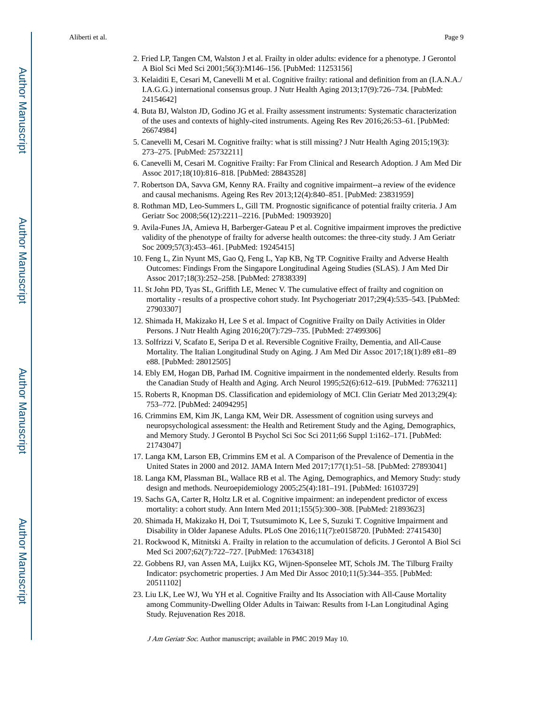- 2. Fried LP, Tangen CM, Walston J et al. Frailty in older adults: evidence for a phenotype. J Gerontol A Biol Sci Med Sci 2001;56(3):M146–156. [PubMed: 11253156]
- 3. Kelaiditi E, Cesari M, Canevelli M et al. Cognitive frailty: rational and definition from an (I.A.N.A./ I.A.G.G.) international consensus group. J Nutr Health Aging 2013;17(9):726–734. [PubMed: 24154642]
- 4. Buta BJ, Walston JD, Godino JG et al. Frailty assessment instruments: Systematic characterization of the uses and contexts of highly-cited instruments. Ageing Res Rev 2016;26:53–61. [PubMed: 26674984]
- 5. Canevelli M, Cesari M. Cognitive frailty: what is still missing? J Nutr Health Aging 2015;19(3): 273–275. [PubMed: 25732211]
- 6. Canevelli M, Cesari M. Cognitive Frailty: Far From Clinical and Research Adoption. J Am Med Dir Assoc 2017;18(10):816–818. [PubMed: 28843528]
- 7. Robertson DA, Savva GM, Kenny RA. Frailty and cognitive impairment--a review of the evidence and causal mechanisms. Ageing Res Rev 2013;12(4):840–851. [PubMed: 23831959]
- 8. Rothman MD, Leo-Summers L, Gill TM. Prognostic significance of potential frailty criteria. J Am Geriatr Soc 2008;56(12):2211–2216. [PubMed: 19093920]
- 9. Avila-Funes JA, Amieva H, Barberger-Gateau P et al. Cognitive impairment improves the predictive validity of the phenotype of frailty for adverse health outcomes: the three-city study. J Am Geriatr Soc 2009;57(3):453–461. [PubMed: 19245415]
- 10. Feng L, Zin Nyunt MS, Gao Q, Feng L, Yap KB, Ng TP. Cognitive Frailty and Adverse Health Outcomes: Findings From the Singapore Longitudinal Ageing Studies (SLAS). J Am Med Dir Assoc 2017;18(3):252–258. [PubMed: 27838339]
- 11. St John PD, Tyas SL, Griffith LE, Menec V. The cumulative effect of frailty and cognition on mortality - results of a prospective cohort study. Int Psychogeriatr 2017;29(4):535–543. [PubMed: 27903307]
- 12. Shimada H, Makizako H, Lee S et al. Impact of Cognitive Frailty on Daily Activities in Older Persons. J Nutr Health Aging 2016;20(7):729–735. [PubMed: 27499306]
- 13. Solfrizzi V, Scafato E, Seripa D et al. Reversible Cognitive Frailty, Dementia, and All-Cause Mortality. The Italian Longitudinal Study on Aging. J Am Med Dir Assoc 2017;18(1):89 e81–89 e88. [PubMed: 28012505]
- 14. Ebly EM, Hogan DB, Parhad IM. Cognitive impairment in the nondemented elderly. Results from the Canadian Study of Health and Aging. Arch Neurol 1995;52(6):612–619. [PubMed: 7763211]
- 15. Roberts R, Knopman DS. Classification and epidemiology of MCI. Clin Geriatr Med 2013;29(4): 753–772. [PubMed: 24094295]
- 16. Crimmins EM, Kim JK, Langa KM, Weir DR. Assessment of cognition using surveys and neuropsychological assessment: the Health and Retirement Study and the Aging, Demographics, and Memory Study. J Gerontol B Psychol Sci Soc Sci 2011;66 Suppl 1:i162–171. [PubMed: 21743047]
- 17. Langa KM, Larson EB, Crimmins EM et al. A Comparison of the Prevalence of Dementia in the United States in 2000 and 2012. JAMA Intern Med 2017;177(1):51–58. [PubMed: 27893041]
- 18. Langa KM, Plassman BL, Wallace RB et al. The Aging, Demographics, and Memory Study: study design and methods. Neuroepidemiology 2005;25(4):181–191. [PubMed: 16103729]
- 19. Sachs GA, Carter R, Holtz LR et al. Cognitive impairment: an independent predictor of excess mortality: a cohort study. Ann Intern Med 2011;155(5):300–308. [PubMed: 21893623]
- 20. Shimada H, Makizako H, Doi T, Tsutsumimoto K, Lee S, Suzuki T. Cognitive Impairment and Disability in Older Japanese Adults. PLoS One 2016;11(7):e0158720. [PubMed: 27415430]
- 21. Rockwood K, Mitnitski A. Frailty in relation to the accumulation of deficits. J Gerontol A Biol Sci Med Sci 2007;62(7):722–727. [PubMed: 17634318]
- 22. Gobbens RJ, van Assen MA, Luijkx KG, Wijnen-Sponselee MT, Schols JM. The Tilburg Frailty Indicator: psychometric properties. J Am Med Dir Assoc 2010;11(5):344–355. [PubMed: 20511102]
- 23. Liu LK, Lee WJ, Wu YH et al. Cognitive Frailty and Its Association with All-Cause Mortality among Community-Dwelling Older Adults in Taiwan: Results from I-Lan Longitudinal Aging Study. Rejuvenation Res 2018.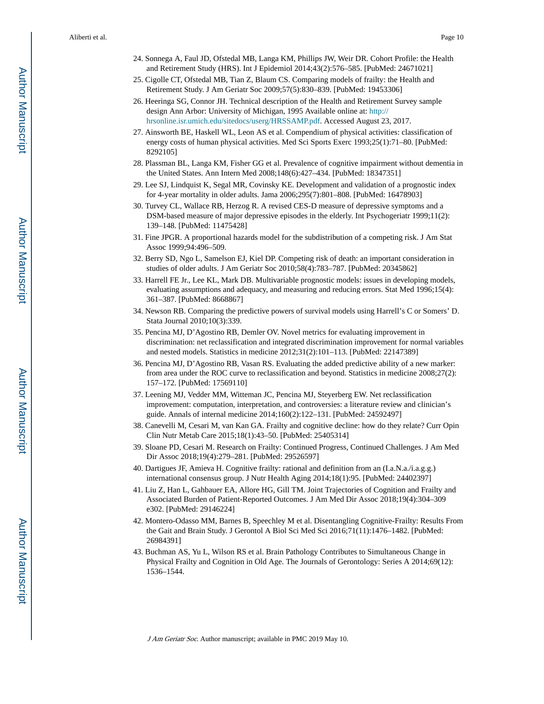- 24. Sonnega A, Faul JD, Ofstedal MB, Langa KM, Phillips JW, Weir DR. Cohort Profile: the Health and Retirement Study (HRS). Int J Epidemiol 2014;43(2):576–585. [PubMed: 24671021]
- 25. Cigolle CT, Ofstedal MB, Tian Z, Blaum CS. Comparing models of frailty: the Health and Retirement Study. J Am Geriatr Soc 2009;57(5):830–839. [PubMed: 19453306]
- 26. Heeringa SG, Connor JH. Technical description of the Health and Retirement Survey sample design Ann Arbor: University of Michigan, 1995 Available online at: [http://](http://hrsonline.isr.umich.edu/sitedocs/userg/HRSSAMP.pdf) [hrsonline.isr.umich.edu/sitedocs/userg/HRSSAMP.pdf](http://hrsonline.isr.umich.edu/sitedocs/userg/HRSSAMP.pdf). Accessed August 23, 2017.
- 27. Ainsworth BE, Haskell WL, Leon AS et al. Compendium of physical activities: classification of energy costs of human physical activities. Med Sci Sports Exerc 1993;25(1):71–80. [PubMed: 8292105]
- 28. Plassman BL, Langa KM, Fisher GG et al. Prevalence of cognitive impairment without dementia in the United States. Ann Intern Med 2008;148(6):427–434. [PubMed: 18347351]
- 29. Lee SJ, Lindquist K, Segal MR, Covinsky KE. Development and validation of a prognostic index for 4-year mortality in older adults. Jama 2006;295(7):801–808. [PubMed: 16478903]
- 30. Turvey CL, Wallace RB, Herzog R. A revised CES-D measure of depressive symptoms and a DSM-based measure of major depressive episodes in the elderly. Int Psychogeriatr 1999;11(2): 139–148. [PubMed: 11475428]
- 31. Fine JPGR. A proportional hazards model for the subdistribution of a competing risk. J Am Stat Assoc 1999;94:496–509.
- 32. Berry SD, Ngo L, Samelson EJ, Kiel DP. Competing risk of death: an important consideration in studies of older adults. J Am Geriatr Soc 2010;58(4):783–787. [PubMed: 20345862]
- 33. Harrell FE Jr., Lee KL, Mark DB. Multivariable prognostic models: issues in developing models, evaluating assumptions and adequacy, and measuring and reducing errors. Stat Med 1996;15(4): 361–387. [PubMed: 8668867]
- 34. Newson RB. Comparing the predictive powers of survival models using Harrell's C or Somers' D. Stata Journal 2010;10(3):339.
- 35. Pencina MJ, D'Agostino RB, Demler OV. Novel metrics for evaluating improvement in discrimination: net reclassification and integrated discrimination improvement for normal variables and nested models. Statistics in medicine 2012;31(2):101–113. [PubMed: 22147389]
- 36. Pencina MJ, D'Agostino RB, Vasan RS. Evaluating the added predictive ability of a new marker: from area under the ROC curve to reclassification and beyond. Statistics in medicine 2008;27(2): 157–172. [PubMed: 17569110]
- 37. Leening MJ, Vedder MM, Witteman JC, Pencina MJ, Steyerberg EW. Net reclassification improvement: computation, interpretation, and controversies: a literature review and clinician's guide. Annals of internal medicine 2014;160(2):122–131. [PubMed: 24592497]
- 38. Canevelli M, Cesari M, van Kan GA. Frailty and cognitive decline: how do they relate? Curr Opin Clin Nutr Metab Care 2015;18(1):43–50. [PubMed: 25405314]
- 39. Sloane PD, Cesari M. Research on Frailty: Continued Progress, Continued Challenges. J Am Med Dir Assoc 2018;19(4):279–281. [PubMed: 29526597]
- 40. Dartigues JF, Amieva H. Cognitive frailty: rational and definition from an (I.a.N.a./i.a.g.g.) international consensus group. J Nutr Health Aging 2014;18(1):95. [PubMed: 24402397]
- 41. Liu Z, Han L, Gahbauer EA, Allore HG, Gill TM. Joint Trajectories of Cognition and Frailty and Associated Burden of Patient-Reported Outcomes. J Am Med Dir Assoc 2018;19(4):304–309 e302. [PubMed: 29146224]
- 42. Montero-Odasso MM, Barnes B, Speechley M et al. Disentangling Cognitive-Frailty: Results From the Gait and Brain Study. J Gerontol A Biol Sci Med Sci 2016;71(11):1476–1482. [PubMed: 26984391]
- 43. Buchman AS, Yu L, Wilson RS et al. Brain Pathology Contributes to Simultaneous Change in Physical Frailty and Cognition in Old Age. The Journals of Gerontology: Series A 2014;69(12): 1536–1544.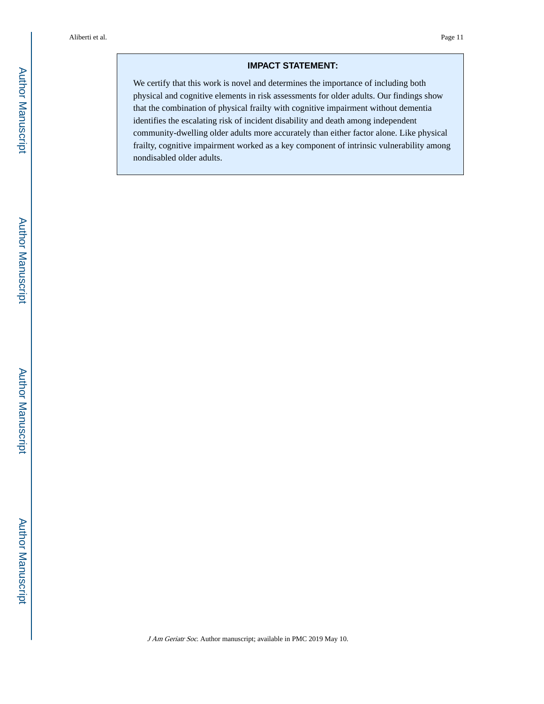#### **IMPACT STATEMENT:**

We certify that this work is novel and determines the importance of including both physical and cognitive elements in risk assessments for older adults. Our findings show that the combination of physical frailty with cognitive impairment without dementia identifies the escalating risk of incident disability and death among independent community-dwelling older adults more accurately than either factor alone. Like physical frailty, cognitive impairment worked as a key component of intrinsic vulnerability among nondisabled older adults.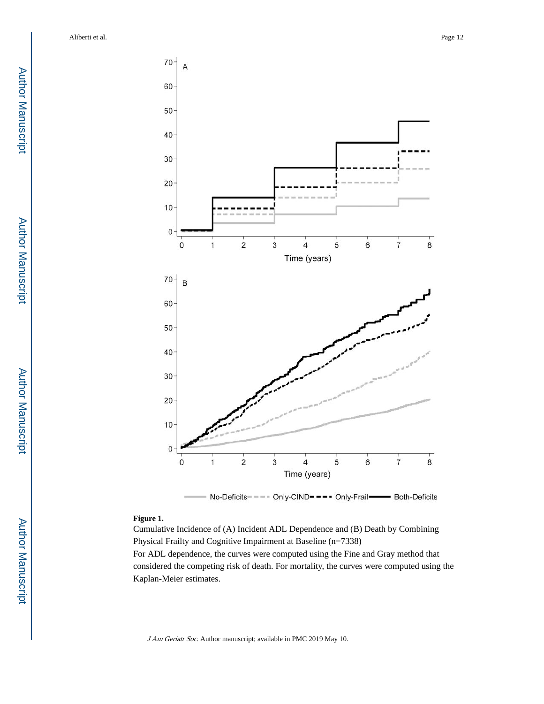

No-Deficits---- Only-CIND---- Only-Frail-- Both-Deficits

#### **Figure 1.**

Cumulative Incidence of (A) Incident ADL Dependence and (B) Death by Combining Physical Frailty and Cognitive Impairment at Baseline (n=7338) For ADL dependence, the curves were computed using the Fine and Gray method that considered the competing risk of death. For mortality, the curves were computed using the Kaplan-Meier estimates.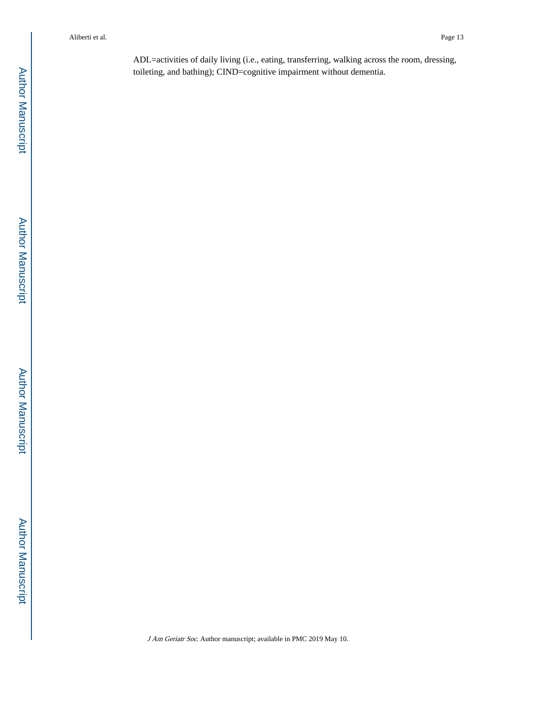ADL=activities of daily living (i.e., eating, transferring, walking across the room, dressing, toileting, and bathing); CIND=cognitive impairment without dementia.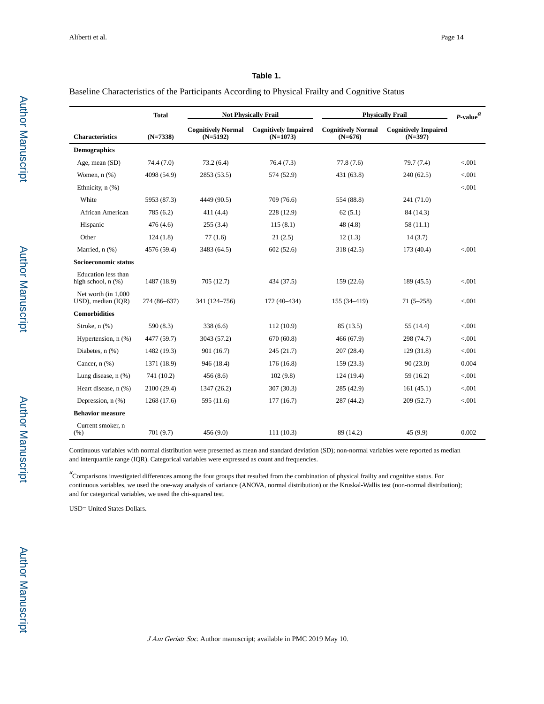#### **Table 1.**

Baseline Characteristics of the Participants According to Physical Frailty and Cognitive Status

|                                               | <b>Total</b> |                                         | <b>Not Physically Frail</b>               |                                        | <b>Physically Frail</b>                  | $P$ -value $^a$ |
|-----------------------------------------------|--------------|-----------------------------------------|-------------------------------------------|----------------------------------------|------------------------------------------|-----------------|
| <b>Characteristics</b>                        | $(N=7338)$   | <b>Cognitively Normal</b><br>$(N=5192)$ | <b>Cognitively Impaired</b><br>$(N=1073)$ | <b>Cognitively Normal</b><br>$(N=676)$ | <b>Cognitively Impaired</b><br>$(N=397)$ |                 |
| <b>Demographics</b>                           |              |                                         |                                           |                                        |                                          |                 |
| Age, mean (SD)                                | 74.4 (7.0)   | 73.2(6.4)                               | 76.4(7.3)                                 | 77.8(7.6)                              | 79.7 (7.4)                               | < 0.001         |
| Women, $n$ $%$ )                              | 4098 (54.9)  | 2853 (53.5)                             | 574 (52.9)                                | 431 (63.8)                             | 240(62.5)                                | < 0.001         |
| Ethnicity, n (%)                              |              |                                         |                                           |                                        |                                          | $< 001$         |
| White                                         | 5953 (87.3)  | 4449 (90.5)                             | 709 (76.6)                                | 554 (88.8)                             | 241 (71.0)                               |                 |
| African American                              | 785(6.2)     | 411(4.4)                                | 228 (12.9)                                | 62(5.1)                                | 84 (14.3)                                |                 |
| Hispanic                                      | 476(4.6)     | 255(3.4)                                | 115(8.1)                                  | 48(4.8)                                | 58 (11.1)                                |                 |
| Other                                         | 124(1.8)     | 77(1.6)                                 | 21(2.5)                                   | 12(1.3)                                | 14(3.7)                                  |                 |
| Married, n (%)                                | 4576 (59.4)  | 3483 (64.5)                             | 602(52.6)                                 | 318 (42.5)                             | 173 (40.4)                               | < 0.001         |
| Socioeconomic status                          |              |                                         |                                           |                                        |                                          |                 |
| Education less than<br>high school, $n$ $%$ ) | 1487 (18.9)  | 705(12.7)                               | 434 (37.5)                                | 159(22.6)                              | 189 (45.5)                               | < 0.001         |
| Net worth (in $1,000$ )<br>USD), median (IOR) | 274 (86-637) | 341 (124-756)                           | 172 (40-434)                              | $155(34 - 419)$                        | $71(5 - 258)$                            | < 0.001         |
| <b>Comorbidities</b>                          |              |                                         |                                           |                                        |                                          |                 |
| Stroke, $n$ $(\%)$                            | 590 (8.3)    | 338 (6.6)                               | 112 (10.9)                                | 85 (13.5)                              | 55 (14.4)                                | < 0.001         |
| Hypertension, n (%)                           | 4477 (59.7)  | 3043 (57.2)                             | 670(60.8)                                 | 466(67.9)                              | 298 (74.7)                               | < 0.001         |
| Diabetes, n (%)                               | 1482 (19.3)  | 901 (16.7)                              | 245(21.7)                                 | 207(28.4)                              | 129(31.8)                                | < 0.001         |
| Cancer, n (%)                                 | 1371 (18.9)  | 946 (18.4)                              | 176(16.8)                                 | 159(23.3)                              | 90(23.0)                                 | 0.004           |
| Lung disease, $n$ $(\%)$                      | 741 (10.2)   | 456(8.6)                                | 102(9.8)                                  | 124(19.4)                              | 59 (16.2)                                | < 0.001         |
| Heart disease, n (%)                          | 2100 (29.4)  | 1347 (26.2)                             | 307 (30.3)                                | 285 (42.9)                             | 161(45.1)                                | < 0.001         |
| Depression, $n$ $(\%)$                        | 1268 (17.6)  | 595 (11.6)                              | 177(16.7)                                 | 287 (44.2)                             | 209 (52.7)                               | < 0.001         |
| <b>Behavior measure</b>                       |              |                                         |                                           |                                        |                                          |                 |
| Current smoker, n<br>(% )                     | 701 (9.7)    | 456 (9.0)                               | 111(10.3)                                 | 89 (14.2)                              | 45 (9.9)                                 | 0.002           |

Continuous variables with normal distribution were presented as mean and standard deviation (SD); non-normal variables were reported as median and interquartile range (IQR). Categorical variables were expressed as count and frequencies.

a Comparisons investigated differences among the four groups that resulted from the combination of physical frailty and cognitive status. For continuous variables, we used the one-way analysis of variance (ANOVA, normal distribution) or the Kruskal-Wallis test (non-normal distribution); and for categorical variables, we used the chi-squared test.

USD= United States Dollars.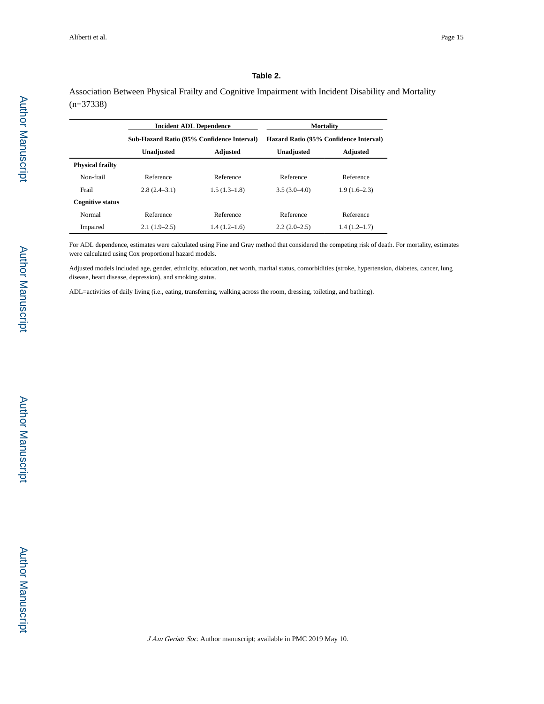#### **Table 2.**

Association Between Physical Frailty and Cognitive Impairment with Incident Disability and Mortality (n=37338)

|                         |                | <b>Incident ADL Dependence</b>             |                | <b>Mortality</b>                       |
|-------------------------|----------------|--------------------------------------------|----------------|----------------------------------------|
|                         |                | Sub-Hazard Ratio (95% Confidence Interval) |                | Hazard Ratio (95% Confidence Interval) |
|                         | Unadjusted     | <b>Adjusted</b>                            | Unadjusted     | <b>Adjusted</b>                        |
| <b>Physical frailty</b> |                |                                            |                |                                        |
| Non-frail               | Reference      | Reference                                  | Reference      | Reference                              |
| Frail                   | $2.8(2.4-3.1)$ | $1.5(1.3-1.8)$                             | $3.5(3.0-4.0)$ | $1.9(1.6-2.3)$                         |
| <b>Cognitive status</b> |                |                                            |                |                                        |
| Normal                  | Reference      | Reference                                  | Reference      | Reference                              |
| Impaired                | $2.1(1.9-2.5)$ | $1.4(1.2-1.6)$                             | $2.2(2.0-2.5)$ | $1.4(1.2-1.7)$                         |

For ADL dependence, estimates were calculated using Fine and Gray method that considered the competing risk of death. For mortality, estimates were calculated using Cox proportional hazard models.

Adjusted models included age, gender, ethnicity, education, net worth, marital status, comorbidities (stroke, hypertension, diabetes, cancer, lung disease, heart disease, depression), and smoking status.

ADL=activities of daily living (i.e., eating, transferring, walking across the room, dressing, toileting, and bathing).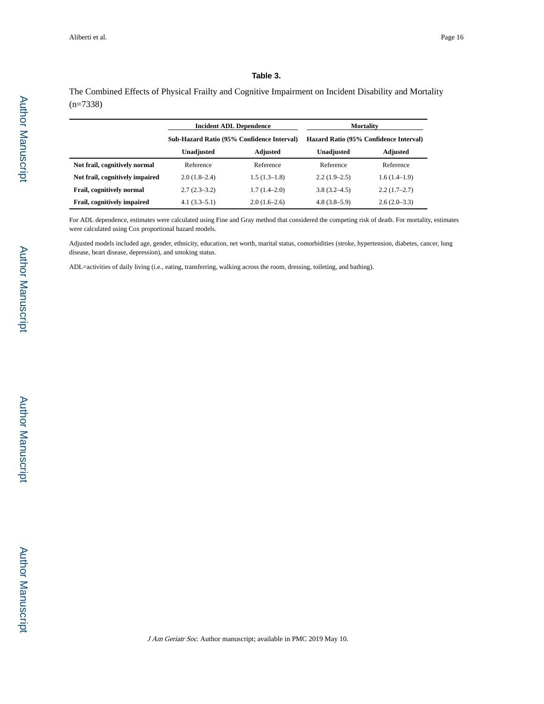#### **Table 3.**

The Combined Effects of Physical Frailty and Cognitive Impairment on Incident Disability and Mortality (n=7338)

|                                 |                                            | <b>Incident ADL Dependence</b> |                  | <b>Mortality</b>                       |
|---------------------------------|--------------------------------------------|--------------------------------|------------------|----------------------------------------|
|                                 | Sub-Hazard Ratio (95% Confidence Interval) |                                |                  | Hazard Ratio (95% Confidence Interval) |
|                                 | Unadjusted                                 | Adjusted                       | Unadjusted       | <b>Adjusted</b>                        |
| Not frail, cognitively normal   | Reference                                  | Reference                      | Reference        | Reference                              |
| Not frail, cognitively impaired | $2.0(1.8-2.4)$                             | $1.5(1.3-1.8)$                 | $2.2(1.9-2.5)$   | $1.6(1.4-1.9)$                         |
| Frail, cognitively normal       | $2.7(2.3-3.2)$                             | $1.7(1.4-2.0)$                 | $3.8(3.2 - 4.5)$ | $2.2(1.7-2.7)$                         |
| Frail, cognitively impaired     | $4.1(3.3-5.1)$                             | $2.0(1.6-2.6)$                 | $4.8(3.8-5.9)$   | $2.6(2.0-3.3)$                         |

For ADL dependence, estimates were calculated using Fine and Gray method that considered the competing risk of death. For mortality, estimates were calculated using Cox proportional hazard models.

Adjusted models included age, gender, ethnicity, education, net worth, marital status, comorbidities (stroke, hypertension, diabetes, cancer, lung disease, heart disease, depression), and smoking status.

ADL=activities of daily living (i.e., eating, transferring, walking across the room, dressing, toileting, and bathing).